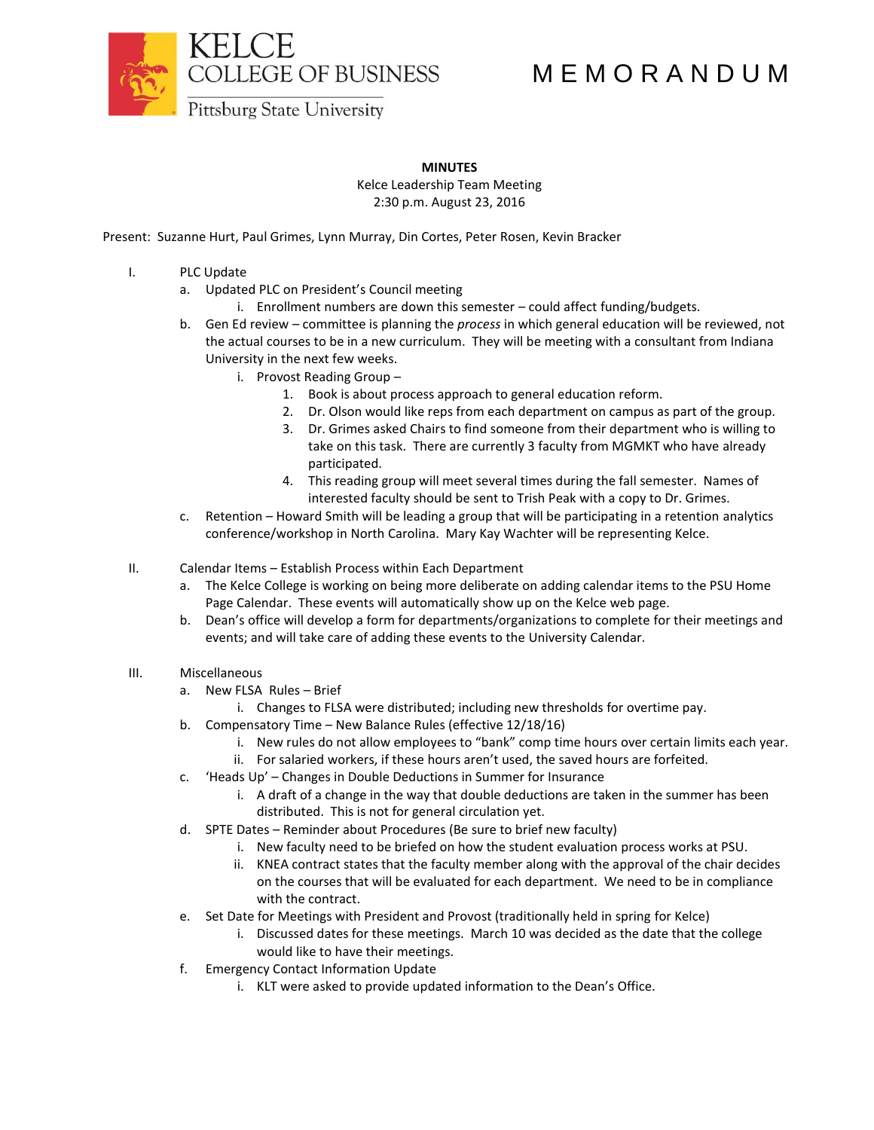

## M E M O R A N D U M

**Pittsburg State University** 

## **MINUTES**

Kelce Leadership Team Meeting 2:30 p.m. August 23, 2016

Present: Suzanne Hurt, Paul Grimes, Lynn Murray, Din Cortes, Peter Rosen, Kevin Bracker

- I. PLC Update
	- a. Updated PLC on President's Council meeting
		- i. Enrollment numbers are down this semester could affect funding/budgets.
	- b. Gen Ed review committee is planning the *process* in which general education will be reviewed, not the actual courses to be in a new curriculum. They will be meeting with a consultant from Indiana University in the next few weeks.
		- i. Provost Reading Group
			- 1. Book is about process approach to general education reform.
			- 2. Dr. Olson would like reps from each department on campus as part of the group.
			- 3. Dr. Grimes asked Chairs to find someone from their department who is willing to take on this task. There are currently 3 faculty from MGMKT who have already participated.
			- 4. This reading group will meet several times during the fall semester. Names of interested faculty should be sent to Trish Peak with a copy to Dr. Grimes.
	- c. Retention Howard Smith will be leading a group that will be participating in a retention analytics conference/workshop in North Carolina. Mary Kay Wachter will be representing Kelce.
- II. Calendar Items Establish Process within Each Department
	- a. The Kelce College is working on being more deliberate on adding calendar items to the PSU Home Page Calendar. These events will automatically show up on the Kelce web page.
	- b. Dean's office will develop a form for departments/organizations to complete for their meetings and events; and will take care of adding these events to the University Calendar.
- III. Miscellaneous
	- a. New FLSA Rules Brief
		- i. Changes to FLSA were distributed; including new thresholds for overtime pay.
	- b. Compensatory Time New Balance Rules (effective 12/18/16)
		- i. New rules do not allow employees to "bank" comp time hours over certain limits each year.
		- ii. For salaried workers, if these hours aren't used, the saved hours are forfeited.
	- c. 'Heads Up' Changes in Double Deductions in Summer for Insurance
		- i. A draft of a change in the way that double deductions are taken in the summer has been distributed. This is not for general circulation yet.
	- d. SPTE Dates Reminder about Procedures (Be sure to brief new faculty)
		- i. New faculty need to be briefed on how the student evaluation process works at PSU.
		- ii. KNEA contract states that the faculty member along with the approval of the chair decides on the courses that will be evaluated for each department. We need to be in compliance with the contract.
	- e. Set Date for Meetings with President and Provost (traditionally held in spring for Kelce)
		- i. Discussed dates for these meetings. March 10 was decided as the date that the college would like to have their meetings.
	- f. Emergency Contact Information Update
		- i. KLT were asked to provide updated information to the Dean's Office.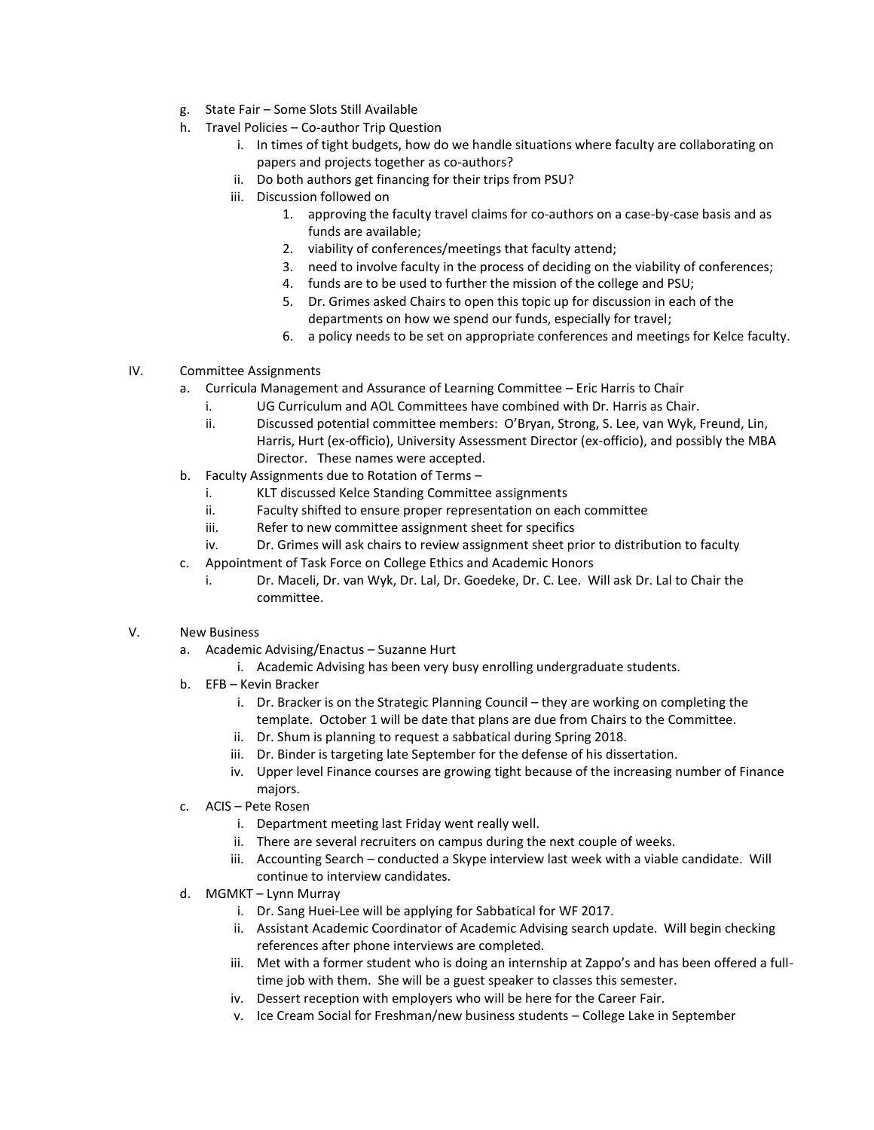- g. State Fair Some Slots Still Available
- h. Travel Policies Co-author Trip Question
	- i. In times of tight budgets, how do we handle situations where faculty are collaborating on papers and projects together as co-authors?
	- ii. Do both authors get financing for their trips from PSU?
	- iii. Discussion followed on
		- 1. approving the faculty travel claims for co-authors on a case-by-case basis and as funds are available;
		- 2. viability of conferences/meetings that faculty attend;
		- 3. need to involve faculty in the process of deciding on the viability of conferences;
		- 4. funds are to be used to further the mission of the college and PSU;
		- 5. Dr. Grimes asked Chairs to open this topic up for discussion in each of the departments on how we spend our funds, especially for travel;
		- 6. a policy needs to be set on appropriate conferences and meetings for Kelce faculty.
- IV. Committee Assignments
	- a. Curricula Management and Assurance of Learning Committee Eric Harris to Chair
		- i. UG Curriculum and AOL Committees have combined with Dr. Harris as Chair.
		- ii. Discussed potential committee members: O'Bryan, Strong, S. Lee, van Wyk, Freund, Lin, Harris, Hurt (ex-officio), University Assessment Director (ex-officio), and possibly the MBA Director. These names were accepted.
	- b. Faculty Assignments due to Rotation of Terms
		- i. KLT discussed Kelce Standing Committee assignments
		- ii. Faculty shifted to ensure proper representation on each committee
		- iii. Refer to new committee assignment sheet for specifics
		- iv. Dr. Grimes will ask chairs to review assignment sheet prior to distribution to faculty
	- c. Appointment of Task Force on College Ethics and Academic Honors
		- i. Dr. Maceli, Dr. van Wyk, Dr. Lal, Dr. Goedeke, Dr. C. Lee. Will ask Dr. Lal to Chair the committee.
- V. New Business
	- a. Academic Advising/Enactus Suzanne Hurt
		- i. Academic Advising has been very busy enrolling undergraduate students.
	- b. EFB Kevin Bracker
		- i. Dr. Bracker is on the Strategic Planning Council they are working on completing the template. October 1 will be date that plans are due from Chairs to the Committee.
		- ii. Dr. Shum is planning to request a sabbatical during Spring 2018.
		- iii. Dr. Binder is targeting late September for the defense of his dissertation.
		- iv. Upper level Finance courses are growing tight because of the increasing number of Finance majors.
	- c. ACIS Pete Rosen
		- i. Department meeting last Friday went really well.
		- ii. There are several recruiters on campus during the next couple of weeks.
		- iii. Accounting Search conducted a Skype interview last week with a viable candidate. Will continue to interview candidates.
	- d. MGMKT Lynn Murray
		- i. Dr. Sang Huei-Lee will be applying for Sabbatical for WF 2017.
		- ii. Assistant Academic Coordinator of Academic Advising search update. Will begin checking references after phone interviews are completed.
		- iii. Met with a former student who is doing an internship at Zappo's and has been offered a fulltime job with them. She will be a guest speaker to classes this semester.
		- iv. Dessert reception with employers who will be here for the Career Fair.
		- v. Ice Cream Social for Freshman/new business students College Lake in September